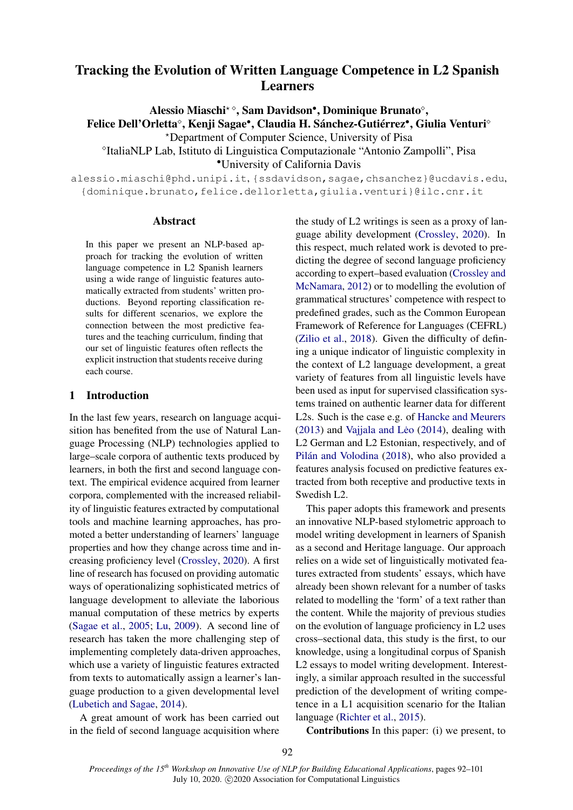# Tracking the Evolution of Written Language Competence in L2 Spanish Learners

Alessio Miaschi<sup>\*</sup><sup>o</sup>, Sam Davidson<sup>•</sup>, Dominique Brunato<sup>o</sup>,

Felice Dell'Orletta°, Kenji Sagae•, Claudia H. Sánchez-Gutiérrez•, Giulia Venturi°

?Department of Computer Science, University of Pisa

<sup>o</sup>ItaliaNLP Lab, Istituto di Linguistica Computazionale "Antonio Zampolli", Pisa

•University of California Davis

alessio.miaschi@phd.unipi.it, {ssdavidson,sagae,chsanchez}@ucdavis.edu, {dominique.brunato,felice.dellorletta,giulia.venturi}@ilc.cnr.it

## Abstract

In this paper we present an NLP-based approach for tracking the evolution of written language competence in L2 Spanish learners using a wide range of linguistic features automatically extracted from students' written productions. Beyond reporting classification results for different scenarios, we explore the connection between the most predictive features and the teaching curriculum, finding that our set of linguistic features often reflects the explicit instruction that students receive during each course.

# 1 Introduction

In the last few years, research on language acquisition has benefited from the use of Natural Language Processing (NLP) technologies applied to large–scale corpora of authentic texts produced by learners, in both the first and second language context. The empirical evidence acquired from learner corpora, complemented with the increased reliability of linguistic features extracted by computational tools and machine learning approaches, has promoted a better understanding of learners' language properties and how they change across time and increasing proficiency level [\(Crossley,](#page-8-0) [2020\)](#page-8-0). A first line of research has focused on providing automatic ways of operationalizing sophisticated metrics of language development to alleviate the laborious manual computation of these metrics by experts [\(Sagae et al.,](#page-9-0) [2005;](#page-9-0) [Lu,](#page-9-1) [2009\)](#page-9-1). A second line of research has taken the more challenging step of implementing completely data-driven approaches, which use a variety of linguistic features extracted from texts to automatically assign a learner's language production to a given developmental level [\(Lubetich and Sagae,](#page-9-2) [2014\)](#page-9-2).

A great amount of work has been carried out in the field of second language acquisition where the study of L2 writings is seen as a proxy of language ability development [\(Crossley,](#page-8-0) [2020\)](#page-8-0). In this respect, much related work is devoted to predicting the degree of second language proficiency according to expert–based evaluation [\(Crossley and](#page-8-1) [McNamara,](#page-8-1) [2012\)](#page-8-1) or to modelling the evolution of grammatical structures' competence with respect to predefined grades, such as the Common European Framework of Reference for Languages (CEFRL) [\(Zilio et al.,](#page-9-3) [2018\)](#page-9-3). Given the difficulty of defining a unique indicator of linguistic complexity in the context of L2 language development, a great variety of features from all linguistic levels have been used as input for supervised classification systems trained on authentic learner data for different L2s. Such is the case e.g. of [Hancke and Meurers](#page-9-4)  $(2013)$  and Vajjala and Leo $(2014)$ , dealing with L2 German and L2 Estonian, respectively, and of [Pilán and Volodina](#page-9-6) [\(2018\)](#page-9-6), who also provided a features analysis focused on predictive features extracted from both receptive and productive texts in Swedish L2.

This paper adopts this framework and presents an innovative NLP-based stylometric approach to model writing development in learners of Spanish as a second and Heritage language. Our approach relies on a wide set of linguistically motivated features extracted from students' essays, which have already been shown relevant for a number of tasks related to modelling the 'form' of a text rather than the content. While the majority of previous studies on the evolution of language proficiency in L2 uses cross–sectional data, this study is the first, to our knowledge, using a longitudinal corpus of Spanish L2 essays to model writing development. Interestingly, a similar approach resulted in the successful prediction of the development of writing competence in a L1 acquisition scenario for the Italian language [\(Richter et al.,](#page-9-7) [2015\)](#page-9-7).

Contributions In this paper: (i) we present, to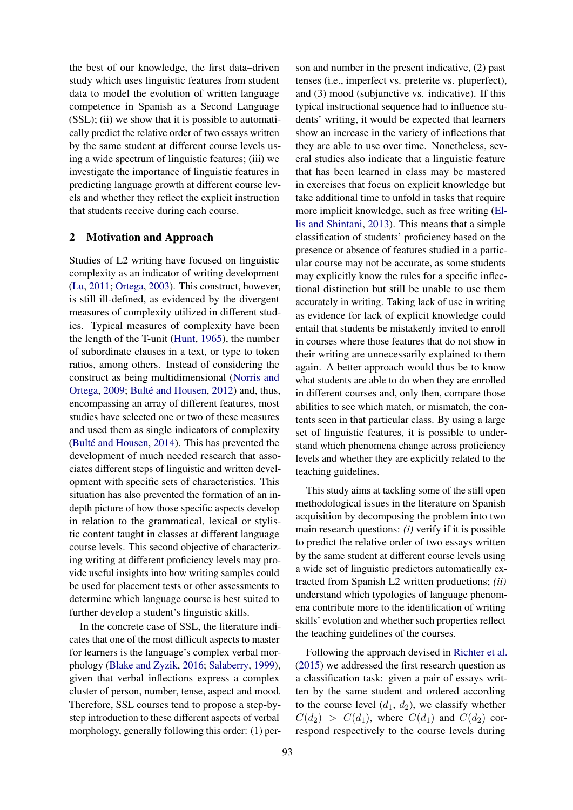the best of our knowledge, the first data–driven study which uses linguistic features from student data to model the evolution of written language competence in Spanish as a Second Language (SSL); (ii) we show that it is possible to automatically predict the relative order of two essays written by the same student at different course levels using a wide spectrum of linguistic features; (iii) we investigate the importance of linguistic features in predicting language growth at different course levels and whether they reflect the explicit instruction that students receive during each course.

### 2 Motivation and Approach

Studies of L2 writing have focused on linguistic complexity as an indicator of writing development [\(Lu,](#page-9-8) [2011;](#page-9-8) [Ortega,](#page-9-9) [2003\)](#page-9-9). This construct, however, is still ill-defined, as evidenced by the divergent measures of complexity utilized in different studies. Typical measures of complexity have been the length of the T-unit [\(Hunt,](#page-9-10) [1965\)](#page-9-10), the number of subordinate clauses in a text, or type to token ratios, among others. Instead of considering the construct as being multidimensional [\(Norris and](#page-9-11) [Ortega,](#page-9-11) [2009;](#page-9-11) [Bulté and Housen,](#page-8-2) [2012\)](#page-8-2) and, thus, encompassing an array of different features, most studies have selected one or two of these measures and used them as single indicators of complexity [\(Bulté and Housen,](#page-8-3) [2014\)](#page-8-3). This has prevented the development of much needed research that associates different steps of linguistic and written development with specific sets of characteristics. This situation has also prevented the formation of an indepth picture of how those specific aspects develop in relation to the grammatical, lexical or stylistic content taught in classes at different language course levels. This second objective of characterizing writing at different proficiency levels may provide useful insights into how writing samples could be used for placement tests or other assessments to determine which language course is best suited to further develop a student's linguistic skills.

In the concrete case of SSL, the literature indicates that one of the most difficult aspects to master for learners is the language's complex verbal morphology [\(Blake and Zyzik,](#page-8-4) [2016;](#page-8-4) [Salaberry,](#page-9-12) [1999\)](#page-9-12), given that verbal inflections express a complex cluster of person, number, tense, aspect and mood. Therefore, SSL courses tend to propose a step-bystep introduction to these different aspects of verbal morphology, generally following this order: (1) person and number in the present indicative, (2) past tenses (i.e., imperfect vs. preterite vs. pluperfect), and (3) mood (subjunctive vs. indicative). If this typical instructional sequence had to influence students' writing, it would be expected that learners show an increase in the variety of inflections that they are able to use over time. Nonetheless, several studies also indicate that a linguistic feature that has been learned in class may be mastered in exercises that focus on explicit knowledge but take additional time to unfold in tasks that require more implicit knowledge, such as free writing [\(El](#page-9-13)[lis and Shintani,](#page-9-13) [2013\)](#page-9-13). This means that a simple classification of students' proficiency based on the presence or absence of features studied in a particular course may not be accurate, as some students may explicitly know the rules for a specific inflectional distinction but still be unable to use them accurately in writing. Taking lack of use in writing as evidence for lack of explicit knowledge could entail that students be mistakenly invited to enroll in courses where those features that do not show in their writing are unnecessarily explained to them again. A better approach would thus be to know what students are able to do when they are enrolled in different courses and, only then, compare those abilities to see which match, or mismatch, the contents seen in that particular class. By using a large set of linguistic features, it is possible to understand which phenomena change across proficiency levels and whether they are explicitly related to the teaching guidelines.

This study aims at tackling some of the still open methodological issues in the literature on Spanish acquisition by decomposing the problem into two main research questions: *(i)* verify if it is possible to predict the relative order of two essays written by the same student at different course levels using a wide set of linguistic predictors automatically extracted from Spanish L2 written productions; *(ii)* understand which typologies of language phenomena contribute more to the identification of writing skills' evolution and whether such properties reflect the teaching guidelines of the courses.

Following the approach devised in [Richter et al.](#page-9-7) [\(2015\)](#page-9-7) we addressed the first research question as a classification task: given a pair of essays written by the same student and ordered according to the course level  $(d_1, d_2)$ , we classify whether  $C(d_2) > C(d_1)$ , where  $C(d_1)$  and  $C(d_2)$  correspond respectively to the course levels during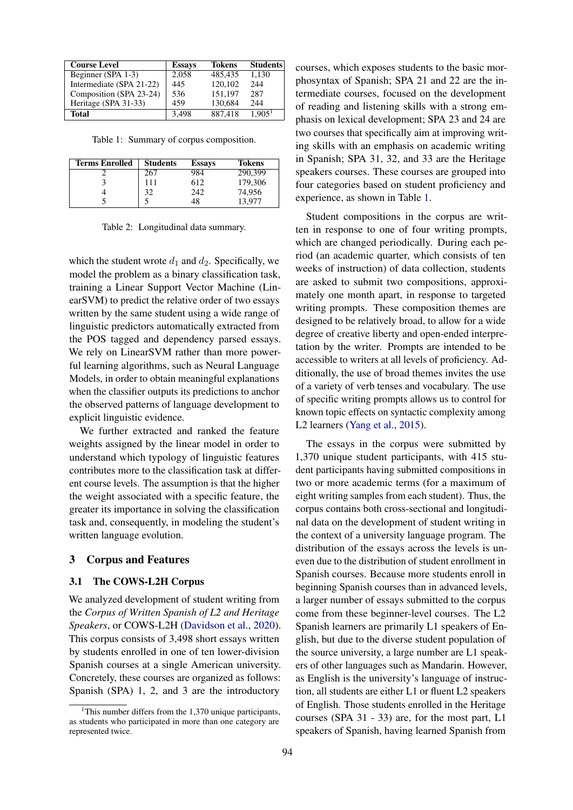<span id="page-2-0"></span>

| <b>Course Level</b>      | <b>Essays</b> | <b>Tokens</b> | <b>Students</b> |
|--------------------------|---------------|---------------|-----------------|
| Beginner (SPA 1-3)       | 2,058         | 485.435       | 1.130           |
| Intermediate (SPA 21-22) | 445           | 120,102       | 244             |
| Composition (SPA 23-24)  | 536           | 151.197       | 287             |
| Heritage (SPA 31-33)     | 459           | 130,684       | 244             |
| <b>Total</b>             | 3,498         | 887,418       | $1,905^1$       |

Table 1: Summary of corpus composition.

<span id="page-2-1"></span>

| <b>Terms Enrolled</b> | <b>Students</b> | <b>Essays</b> | <b>Tokens</b> |
|-----------------------|-----------------|---------------|---------------|
|                       | 267             | 984           | 290,399       |
|                       | 111             | 612           | 179,306       |
|                       | 32              | 242           | 74,956        |
|                       |                 | 48            | 13,977        |

Table 2: Longitudinal data summary.

which the student wrote  $d_1$  and  $d_2$ . Specifically, we model the problem as a binary classification task, training a Linear Support Vector Machine (LinearSVM) to predict the relative order of two essays written by the same student using a wide range of linguistic predictors automatically extracted from the POS tagged and dependency parsed essays. We rely on LinearSVM rather than more powerful learning algorithms, such as Neural Language Models, in order to obtain meaningful explanations when the classifier outputs its predictions to anchor the observed patterns of language development to explicit linguistic evidence.

We further extracted and ranked the feature weights assigned by the linear model in order to understand which typology of linguistic features contributes more to the classification task at different course levels. The assumption is that the higher the weight associated with a specific feature, the greater its importance in solving the classification task and, consequently, in modeling the student's written language evolution.

#### 3 Corpus and Features

#### 3.1 The COWS-L2H Corpus

We analyzed development of student writing from the *Corpus of Written Spanish of L2 and Heritage Speakers*, or COWS-L2H [\(Davidson et al.,](#page-8-5) [2020\)](#page-8-5). This corpus consists of 3,498 short essays written by students enrolled in one of ten lower-division Spanish courses at a single American university. Concretely, these courses are organized as follows: Spanish (SPA) 1, 2, and 3 are the introductory

courses, which exposes students to the basic morphosyntax of Spanish; SPA 21 and 22 are the intermediate courses, focused on the development of reading and listening skills with a strong emphasis on lexical development; SPA 23 and 24 are two courses that specifically aim at improving writing skills with an emphasis on academic writing in Spanish; SPA 31, 32, and 33 are the Heritage speakers courses. These courses are grouped into four categories based on student proficiency and experience, as shown in Table [1.](#page-2-0)

Student compositions in the corpus are written in response to one of four writing prompts, which are changed periodically. During each period (an academic quarter, which consists of ten weeks of instruction) of data collection, students are asked to submit two compositions, approximately one month apart, in response to targeted writing prompts. These composition themes are designed to be relatively broad, to allow for a wide degree of creative liberty and open-ended interpretation by the writer. Prompts are intended to be accessible to writers at all levels of proficiency. Additionally, the use of broad themes invites the use of a variety of verb tenses and vocabulary. The use of specific writing prompts allows us to control for known topic effects on syntactic complexity among L2 learners [\(Yang et al.,](#page-9-14) [2015\)](#page-9-14).

The essays in the corpus were submitted by 1,370 unique student participants, with 415 student participants having submitted compositions in two or more academic terms (for a maximum of eight writing samples from each student). Thus, the corpus contains both cross-sectional and longitudinal data on the development of student writing in the context of a university language program. The distribution of the essays across the levels is uneven due to the distribution of student enrollment in Spanish courses. Because more students enroll in beginning Spanish courses than in advanced levels, a larger number of essays submitted to the corpus come from these beginner-level courses. The L2 Spanish learners are primarily L1 speakers of English, but due to the diverse student population of the source university, a large number are L1 speakers of other languages such as Mandarin. However, as English is the university's language of instruction, all students are either L1 or fluent L2 speakers of English. Those students enrolled in the Heritage courses (SPA 31 - 33) are, for the most part, L1 speakers of Spanish, having learned Spanish from

<sup>&</sup>lt;sup>1</sup>This number differs from the 1,370 unique participants, as students who participated in more than one category are represented twice.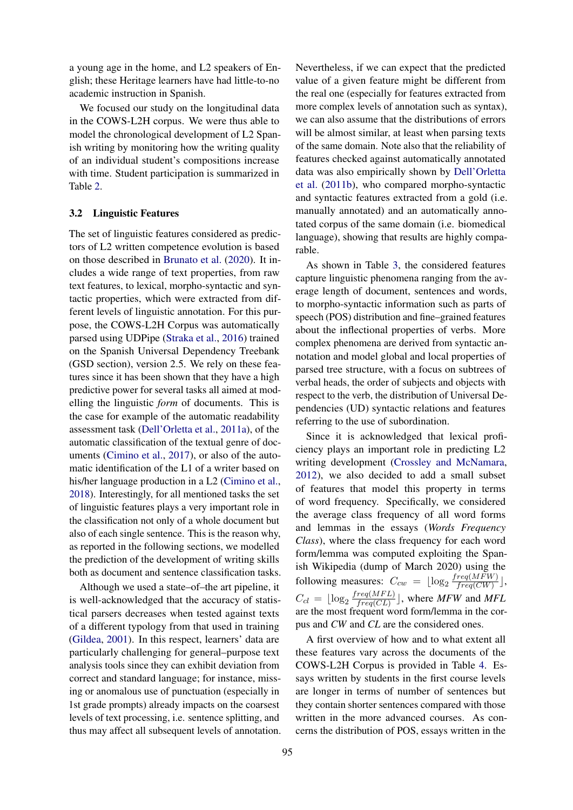a young age in the home, and L2 speakers of English; these Heritage learners have had little-to-no academic instruction in Spanish.

We focused our study on the longitudinal data in the COWS-L2H corpus. We were thus able to model the chronological development of L2 Spanish writing by monitoring how the writing quality of an individual student's compositions increase with time. Student participation is summarized in Table [2.](#page-2-1)

#### 3.2 Linguistic Features

The set of linguistic features considered as predictors of L2 written competence evolution is based on those described in [Brunato et al.](#page-8-6) [\(2020\)](#page-8-6). It includes a wide range of text properties, from raw text features, to lexical, morpho-syntactic and syntactic properties, which were extracted from different levels of linguistic annotation. For this purpose, the COWS-L2H Corpus was automatically parsed using UDPipe [\(Straka et al.,](#page-9-15) [2016\)](#page-9-15) trained on the Spanish Universal Dependency Treebank (GSD section), version 2.5. We rely on these features since it has been shown that they have a high predictive power for several tasks all aimed at modelling the linguistic *form* of documents. This is the case for example of the automatic readability assessment task [\(Dell'Orletta et al.,](#page-9-16) [2011a\)](#page-9-16), of the automatic classification of the textual genre of documents [\(Cimino et al.,](#page-8-7) [2017\)](#page-8-7), or also of the automatic identification of the L1 of a writer based on his/her language production in a L2 [\(Cimino et al.,](#page-8-8) [2018\)](#page-8-8). Interestingly, for all mentioned tasks the set of linguistic features plays a very important role in the classification not only of a whole document but also of each single sentence. This is the reason why, as reported in the following sections, we modelled the prediction of the development of writing skills both as document and sentence classification tasks.

Although we used a state–of–the art pipeline, it is well-acknowledged that the accuracy of statistical parsers decreases when tested against texts of a different typology from that used in training [\(Gildea,](#page-9-17) [2001\)](#page-9-17). In this respect, learners' data are particularly challenging for general–purpose text analysis tools since they can exhibit deviation from correct and standard language; for instance, missing or anomalous use of punctuation (especially in 1st grade prompts) already impacts on the coarsest levels of text processing, i.e. sentence splitting, and thus may affect all subsequent levels of annotation. Nevertheless, if we can expect that the predicted value of a given feature might be different from the real one (especially for features extracted from more complex levels of annotation such as syntax), we can also assume that the distributions of errors will be almost similar, at least when parsing texts of the same domain. Note also that the reliability of features checked against automatically annotated data was also empirically shown by [Dell'Orletta](#page-9-18) [et al.](#page-9-18) [\(2011b\)](#page-9-18), who compared morpho-syntactic and syntactic features extracted from a gold (i.e. manually annotated) and an automatically annotated corpus of the same domain (i.e. biomedical language), showing that results are highly comparable.

As shown in Table [3,](#page-4-0) the considered features capture linguistic phenomena ranging from the average length of document, sentences and words, to morpho-syntactic information such as parts of speech (POS) distribution and fine–grained features about the inflectional properties of verbs. More complex phenomena are derived from syntactic annotation and model global and local properties of parsed tree structure, with a focus on subtrees of verbal heads, the order of subjects and objects with respect to the verb, the distribution of Universal Dependencies (UD) syntactic relations and features referring to the use of subordination.

Since it is acknowledged that lexical proficiency plays an important role in predicting L2 writing development [\(Crossley and McNamara,](#page-8-1) [2012\)](#page-8-1), we also decided to add a small subset of features that model this property in terms of word frequency. Specifically, we considered the average class frequency of all word forms and lemmas in the essays (*Words Frequency Class*), where the class frequency for each word form/lemma was computed exploiting the Spanish Wikipedia (dump of March 2020) using the following measures:  $C_{cw} = \lfloor \log_2 \frac{freq(MFW)}{freq(CW)} \rfloor$  $\frac{req(MFW)}{freq(CW)}$ ,  $C_{cl} = \lfloor \log_2 \frac{freq(MFL)}{freq(CL)} \rfloor$  $\frac{req(MFL)}{freq(CL)}$ , where *MFW* and *MFL* are the most frequent word form/lemma in the corpus and *CW* and *CL* are the considered ones.

A first overview of how and to what extent all these features vary across the documents of the COWS-L2H Corpus is provided in Table [4.](#page-5-0) Essays written by students in the first course levels are longer in terms of number of sentences but they contain shorter sentences compared with those written in the more advanced courses. As concerns the distribution of POS, essays written in the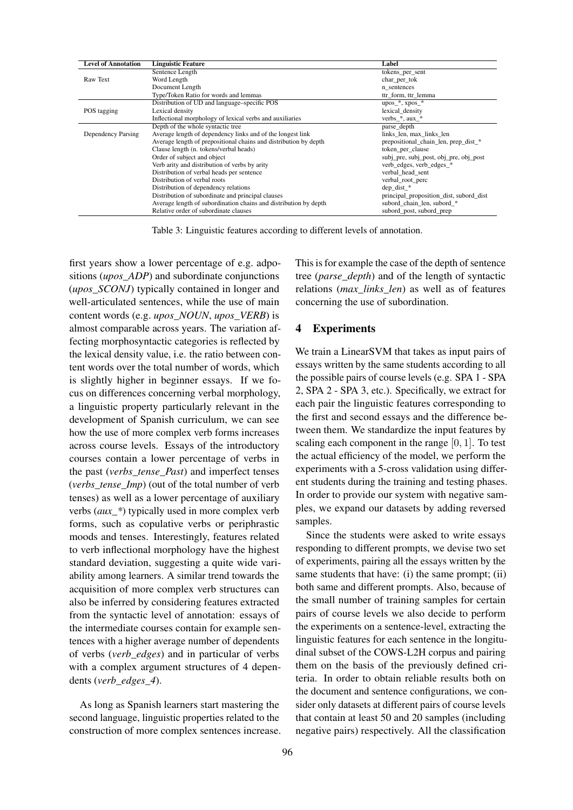<span id="page-4-0"></span>

| <b>Level of Annotation</b> | <b>Linguistic Feature</b>                                        | Label                                   |
|----------------------------|------------------------------------------------------------------|-----------------------------------------|
|                            | Sentence Length                                                  | tokens_per_sent                         |
| Raw Text                   | Word Length                                                      | char_per_tok                            |
|                            | Document Length                                                  | n sentences                             |
|                            | Type/Token Ratio for words and lemmas                            | ttr form, ttr lemma                     |
|                            | Distribution of UD and language–specific POS                     | upos $*$ , xpos $*$                     |
| POS tagging                | Lexical density                                                  | lexical density                         |
|                            | Inflectional morphology of lexical verbs and auxiliaries         | verbs_ $*$ , aux_ $*$                   |
|                            | Depth of the whole syntactic tree                                | parse depth                             |
| Dependency Parsing         | Average length of dependency links and of the longest link       | links_len, max_links_len                |
|                            | Average length of prepositional chains and distribution by depth | prepositional chain len, prep dist *    |
|                            | Clause length (n. tokens/verbal heads)                           | token per clause                        |
|                            | Order of subject and object                                      | subj_pre, subj_post, obj_pre, obj_post  |
|                            | Verb arity and distribution of verbs by arity                    | verb edges, verb edges *                |
|                            | Distribution of verbal heads per sentence                        | verbal head sent                        |
|                            | Distribution of verbal roots                                     | verbal root perc                        |
|                            | Distribution of dependency relations                             | dep dist *                              |
|                            | Distribution of subordinate and principal clauses                | principal_proposition_dist, subord_dist |
|                            | Average length of subordination chains and distribution by depth | subord_chain_len, subord_*              |
|                            | Relative order of subordinate clauses                            | subord post, subord prep                |

Table 3: Linguistic features according to different levels of annotation.

first years show a lower percentage of e.g. adpositions (*upos\_ADP*) and subordinate conjunctions (*upos\_SCONJ*) typically contained in longer and well-articulated sentences, while the use of main content words (e.g. *upos\_NOUN*, *upos\_VERB*) is almost comparable across years. The variation affecting morphosyntactic categories is reflected by the lexical density value, i.e. the ratio between content words over the total number of words, which is slightly higher in beginner essays. If we focus on differences concerning verbal morphology, a linguistic property particularly relevant in the development of Spanish curriculum, we can see how the use of more complex verb forms increases across course levels. Essays of the introductory courses contain a lower percentage of verbs in the past (*verbs\_tense\_Past*) and imperfect tenses (*verbs\_tense\_Imp*) (out of the total number of verb tenses) as well as a lower percentage of auxiliary verbs (*aux\_\**) typically used in more complex verb forms, such as copulative verbs or periphrastic moods and tenses. Interestingly, features related to verb inflectional morphology have the highest standard deviation, suggesting a quite wide variability among learners. A similar trend towards the acquisition of more complex verb structures can also be inferred by considering features extracted from the syntactic level of annotation: essays of the intermediate courses contain for example sentences with a higher average number of dependents of verbs (*verb\_edges*) and in particular of verbs with a complex argument structures of 4 dependents (*verb\_edges\_4*).

As long as Spanish learners start mastering the second language, linguistic properties related to the construction of more complex sentences increase. This is for example the case of the depth of sentence tree (*parse\_depth*) and of the length of syntactic relations (*max\_links\_len*) as well as of features concerning the use of subordination.

#### 4 Experiments

We train a LinearSVM that takes as input pairs of essays written by the same students according to all the possible pairs of course levels (e.g. SPA 1 - SPA 2, SPA 2 - SPA 3, etc.). Specifically, we extract for each pair the linguistic features corresponding to the first and second essays and the difference between them. We standardize the input features by scaling each component in the range  $[0, 1]$ . To test the actual efficiency of the model, we perform the experiments with a 5-cross validation using different students during the training and testing phases. In order to provide our system with negative samples, we expand our datasets by adding reversed samples.

Since the students were asked to write essays responding to different prompts, we devise two set of experiments, pairing all the essays written by the same students that have: (i) the same prompt; (ii) both same and different prompts. Also, because of the small number of training samples for certain pairs of course levels we also decide to perform the experiments on a sentence-level, extracting the linguistic features for each sentence in the longitudinal subset of the COWS-L2H corpus and pairing them on the basis of the previously defined criteria. In order to obtain reliable results both on the document and sentence configurations, we consider only datasets at different pairs of course levels that contain at least 50 and 20 samples (including negative pairs) respectively. All the classification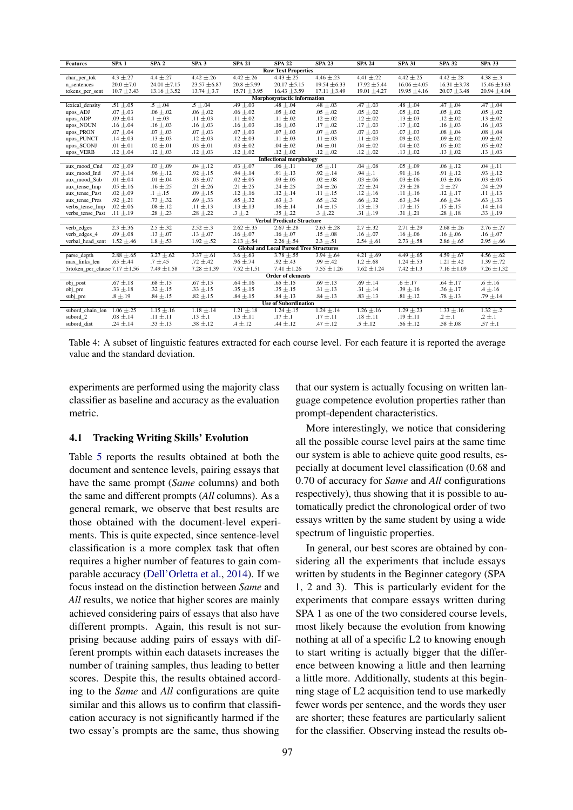<span id="page-5-0"></span>

| <b>Raw Text Properties</b><br>$4.3 \pm .27$<br>$4.42 \pm .26$<br>$4.42 \pm .26$<br>$4.46 \pm .23$<br>$4.4 \pm .27$<br>$4.43 \pm .25$<br>$4.41 \pm .22$<br>$4.42 \pm .25$<br>$4.42 + 0.28$<br>$4.38 \pm .3$<br>char per tok<br>$16.06 \pm 4.05$<br>$20.0 \pm 7.0$<br>$24.01 \pm 7.15$<br>$23.57 \pm 6.87$<br>$20.8 \pm 5.99$<br>$20.17 \pm 5.15$<br>$19.54 \pm 6.33$<br>$17.92 \pm 5.44$<br>$16.31 \pm 3.78$<br>$15.46 \pm 3.63$<br>n sentences<br>$13.16 \pm 3.52$<br>$10.7 \pm 3.43$<br>$13.74 \pm 3.7$<br>$15.71 \pm 3.95$<br>$16.43 \pm 3.59$<br>$17.11 \pm 3.49$<br>$19.01 \pm 4.27$<br>$19.95 \pm 4.16$<br>$20.07 \pm 3.48$<br>$20.94 \pm 4.04$<br>tokens_per_sent<br>Morphosyntactic information<br>$.51 \pm .05$<br>$.5 \pm .04$<br>$.5 \pm .04$<br>$.49 \pm .03$<br>$.48 \pm .04$<br>$.48 \pm .03$<br>$.47 \pm .03$<br>$.47 \pm .04$<br>$.47 \pm .04$<br>$.48 \pm .04$<br>lexical density<br>$.07 \pm .03$<br>$.06 \pm .02$<br>$.06 \pm .02$<br>$.05 \pm .02$<br>$.05 \pm .02$<br>$.05 \pm .02$<br>$.05 \pm .02$<br>$.06 \pm .02$<br>$.05 \pm .02$<br>$.05 \pm .02$<br>upos_ADJ<br>$.09 \pm .04$<br>$.1 \pm .03$<br>$.11 \pm .03$<br>$.11 \pm .02$<br>$.12 \pm .02$<br>$.12 \pm .02$<br>$.13 \pm .03$<br>$.12 \pm .02$<br>$.13 \pm .02$<br>$.11 \pm .02$<br>upos_ADP<br>$.16 \pm .04$<br>$.16 \pm .03$<br>$.16 \pm .03$<br>$.17 \pm .02$<br>$.17 \pm .03$<br>$.16 \pm .03$<br>$.16 \pm .03$<br>upos_NOUN<br>$.16 \pm .03$<br>$.16 \pm .03$<br>$.17 \pm .02$<br>$.07 \pm .03$<br>$.07 \pm .03$<br>$.07 \pm .03$<br>$.07 \pm .03$<br>$.08 \pm .04$<br>upos_PRON<br>$.07 \pm .04$<br>$.07 \pm .03$<br>$.07 \pm .03$<br>$.07 \pm .03$<br>$.08 \pm .04$<br>$.09 \pm .02$<br>$.14 \pm .03$<br>$.13 \pm .03$<br>$.12 \pm .03$<br>$.12 \pm .03$<br>$.11 \pm .03$<br>$.11 \pm .03$<br>$.11 \pm .03$<br>$.09 \pm .02$<br>$.09 \pm .02$<br>upos_PUNCT<br>$.03 \pm .02$<br>.01 $\pm$ .01<br>$.02 \pm .01$<br>$.03 \pm .01$<br>$.04 \pm .02$<br>$.04 \pm .01$<br>$.04 \pm .02$<br>$.04 \pm .02$<br>$.05 \pm .02$<br>$.05 \pm .02$<br>upos_SCONJ<br>$.12 \pm .02$<br>$.12 \pm .04$<br>$.12 \pm .03$<br>$.12 \pm .03$<br>$.12 \pm .02$<br>$.12 \pm .02$<br>$.12 \pm .02$<br>$.13 \pm .02$<br>$.13 \pm .02$<br>$.13 \pm .03$<br>upos_VERB<br><b>Inflectional morphology</b><br>$.03 \pm .07$<br>$.05 \pm .11$<br>$.02 \pm .09$<br>$.03 \pm .09$<br>$.04 \pm .12$<br>$.04 \pm .08$<br>$.05 \pm .09$<br>$.06 \pm .12$<br>$.04 \pm .11$<br>$.06 \pm .11$<br>aux mood Cnd<br>$.97 \pm .14$<br>$.96 \pm .12$<br>$.92 \pm .15$<br>$.94 \pm .14$<br>$.91 \pm .13$<br>$.92 \pm .14$<br>$.94 \pm .1$<br>$.91 \pm .16$<br>$.91 \pm .12$<br>$.93 \pm .12$<br>aux mood Ind<br>$.02 \pm .08$<br>.01 $\pm$ .04<br>.01 $\pm$ .04<br>$.03 \pm .07$<br>$.02 \pm .05$<br>$.03 \pm .05$<br>$.03 \pm .06$<br>$.03 \pm .06$<br>$.03 \pm .06$<br>$.03 \pm .05$<br>aux_mood_Sub<br>$.21 \pm .25$<br>$.24 \pm .26$<br>$.2 \pm .27$<br>$.05 \pm .16$<br>$.16 \pm .25$<br>$.21 \pm .26$<br>$.24 \pm .25$<br>$.22 \pm .24$<br>$.23 \pm .28$<br>$.24 \pm .29$<br>aux tense Imp<br>$.12 \pm .16$<br>$.02 \pm .09$<br>$.1 \pm .15$<br>$.09 \pm .15$<br>$.12 \pm .14$<br>$.11 \pm .15$<br>$.11 \pm .16$<br>$.12 \pm .17$<br>$.12 \pm .16$<br>$.11 \pm .13$<br>aux tense Past<br>$.92 \pm .21$<br>$.73 \pm .32$<br>$.69 \pm .33$<br>$.65 \pm .32$<br>$.63 \pm .3$<br>$.65 \pm .32$<br>$.66 \pm .32$<br>$.63 \pm .34$<br>$.66 \pm .34$<br>$.63 \pm .33$<br>aux_tense_Pres<br>$.02 \pm .06$<br>$.08 \pm .12$<br>$.11 \pm .13$<br>$.13 \pm .13$<br>$.16 \pm .14$<br>$.14 \pm .15$<br>$.13 \pm .13$<br>$.17 \pm .15$<br>$.15 \pm .15$<br>$.14 \pm .14$<br>verbs_tense_Imp<br>$.11 \pm .19$<br>$.28 \pm .23$<br>$.28 \pm .22$<br>$.3 \pm .2$<br>$.35 \pm .22$<br>$.3 \pm .22$<br>$.31 \pm .19$<br>$.31 \pm .21$<br>$.28 \pm .18$<br>$.33 \pm .19$<br>verbs tense Past<br><b>Verbal Predicate Structure</b><br>$2.3 + 0.36$<br>$2.5 + 32$<br>$2.52 + 3$<br>$2.62 + 0.35$<br>$2.67 + 0.28$<br>$2.63 + 0.28$<br>$2.7 + 32$<br>$2.71 \pm .29$<br>$2.68 \pm .26$<br>$2.76 \pm .27$<br>verb edges<br>$.09 \pm .08$<br>$.13 \pm .07$<br>$.13 \pm .07$<br>$.16 \pm .07$<br>$.16 \pm .07$<br>$.15 \pm .08$<br>$.16 \pm .07$<br>$.16 \pm .06$<br>verb edges 4<br>$.16 \pm .06$<br>$.16 \pm .07$<br>$2.3 \pm .51$<br>$1.52 \pm .46$<br>$1.8 \pm .53$<br>$1.92 \pm .52$<br>$2.13 \pm .54$<br>$2.26 \pm .54$<br>$2.54 \pm .61$<br>$2.73 \pm .58$<br>$2.86 \pm .65$<br>$2.95 \pm .66$<br>verbal head sent<br><b>Global and Local Parsed Tree Structures</b><br>$2.88 \pm .65$<br>$3.27 \pm .62$<br>$3.37 + 0.61$<br>$3.6 \pm .63$<br>$3.78 \pm .55$<br>$4.21 \pm .69$<br>$4.49 \pm .65$<br>$4.59 + 0.67$<br>$4.56 \pm .62$<br>$3.94 \pm .64$<br>parse_depth<br>$.96 \pm .74$<br>$.99 \pm .42$<br>$.65 \pm .44$<br>$.7 \pm .45$<br>$.72 \pm .42$<br>$.92 \pm .43$<br>$1.2 \pm .68$<br>$1.24 \pm .53$<br>$1.21 \pm .42$<br>$1.39 \pm .72$<br>max links len<br>5rtoken per clause $7.17 \pm 1.56$<br>$7.52 \pm 1.51$<br>$7.55 \pm 1.26$<br>$7.42 \pm 1.3$<br>$7.49 \pm 1.58$<br>$7.28 \pm 1.39$<br>$7.41 \pm 1.26$<br>$7.62 \pm 1.24$<br>$7.16 \pm 1.09$<br>$7.26 \pm 1.32$<br><b>Order of elements</b><br>$.64 \pm .16$<br>$.69 \pm .13$<br>$.67 \pm .18$<br>$.68 \pm .15$<br>$.67 + .15$<br>$.65 \pm .15$<br>$.69 \pm .14$<br>$.6 \pm .17$<br>$.64 \pm .17$<br>$.6 \pm .16$<br>obj_post<br>$.33 \pm .18$<br>$.32 \pm .15$<br>$.33 \pm .15$<br>$.35 \pm .15$<br>$.35 \pm .15$<br>$.31 \pm .13$<br>$.31 \pm .14$<br>$.39 \pm .16$<br>$.36 \pm .17$<br>$.4 \pm .16$<br>obj_pre<br>$.84 \pm .13$<br>$.8 \pm .19$<br>$.84 \pm .15$<br>$.82 \pm .15$<br>$.84 \pm .15$<br>$.84 \pm .13$<br>$.83 \pm .13$<br>$.81 \pm .12$<br>$.78 \pm .13$<br>$.79 \pm .14$<br>subj_pre<br><b>Use of Subordination</b><br>$1.06 \pm .25$<br>$1.15 \pm .16$<br>$1.18 \pm .14$<br>$1.21 \pm .18$<br>$1.24 \pm .15$<br>$1.24 \pm .14$<br>$1.29 \pm .23$<br>$1.33 \pm .16$<br>$1.32 + 0.2$<br>subord chain len<br>$1.26 \pm .16$<br>$.2 \pm .1$<br>$.11 \pm .11$<br>$.15 \pm .11$<br>$.17 \pm .11$<br>$.18 \pm .11$<br>$.19 \pm .11$<br>$.2 \pm .1$<br>subord 2<br>$.08 \pm .14$<br>$.13 \pm .1$<br>$.17 \pm .1$<br>$.4 \pm .12$<br>$.47 \pm .12$<br>$.5 \pm .12$<br>$.58 \pm .08$<br>$.57 \pm .1$<br>subord dist<br>$.24 \pm .14$<br>$.33 \pm .13$<br>$.38 \pm .12$<br>$.44 \pm .12$<br>$.56 \pm .12$ | <b>Features</b> | SPA1 | SPA2 | SPA3 | <b>SPA 21</b> | <b>SPA 22</b> | <b>SPA 23</b> | <b>SPA 24</b> | <b>SPA 31</b> | <b>SPA 32</b> | <b>SPA 33</b> |
|-----------------------------------------------------------------------------------------------------------------------------------------------------------------------------------------------------------------------------------------------------------------------------------------------------------------------------------------------------------------------------------------------------------------------------------------------------------------------------------------------------------------------------------------------------------------------------------------------------------------------------------------------------------------------------------------------------------------------------------------------------------------------------------------------------------------------------------------------------------------------------------------------------------------------------------------------------------------------------------------------------------------------------------------------------------------------------------------------------------------------------------------------------------------------------------------------------------------------------------------------------------------------------------------------------------------------------------------------------------------------------------------------------------------------------------------------------------------------------------------------------------------------------------------------------------------------------------------------------------------------------------------------------------------------------------------------------------------------------------------------------------------------------------------------------------------------------------------------------------------------------------------------------------------------------------------------------------------------------------------------------------------------------------------------------------------------------------------------------------------------------------------------------------------------------------------------------------------------------------------------------------------------------------------------------------------------------------------------------------------------------------------------------------------------------------------------------------------------------------------------------------------------------------------------------------------------------------------------------------------------------------------------------------------------------------------------------------------------------------------------------------------------------------------------------------------------------------------------------------------------------------------------------------------------------------------------------------------------------------------------------------------------------------------------------------------------------------------------------------------------------------------------------------------------------------------------------------------------------------------------------------------------------------------------------------------------------------------------------------------------------------------------------------------------------------------------------------------------------------------------------------------------------------------------------------------------------------------------------------------------------------------------------------------------------------------------------------------------------------------------------------------------------------------------------------------------------------------------------------------------------------------------------------------------------------------------------------------------------------------------------------------------------------------------------------------------------------------------------------------------------------------------------------------------------------------------------------------------------------------------------------------------------------------------------------------------------------------------------------------------------------------------------------------------------------------------------------------------------------------------------------------------------------------------------------------------------------------------------------------------------------------------------------------------------------------------------------------------------------------------------------------------------------------------------------------------------------------------------------------------------------------------------------------------------------------------------------------------------------------------------------------------------------------------------------------------------------------------------------------------------------------------------------------------------------------------------------------------------------------------------------------------------------------------------------------------------------------------------------------------------------------------------------------------------------------------------------------------------------------------------------------------------------------------------------------------------------------------------------------------------------------------------------------------------------------------------------------------------------------------------------------------------------------------------------------------------------------------------------------------------------------------------------------------------------------------------------------------------------------------------------------------------------------------------------------------------------------------------------------------------------------------------------------------------------------------------------------------------------------------------------------------------------------------------------------|-----------------|------|------|------|---------------|---------------|---------------|---------------|---------------|---------------|---------------|
|                                                                                                                                                                                                                                                                                                                                                                                                                                                                                                                                                                                                                                                                                                                                                                                                                                                                                                                                                                                                                                                                                                                                                                                                                                                                                                                                                                                                                                                                                                                                                                                                                                                                                                                                                                                                                                                                                                                                                                                                                                                                                                                                                                                                                                                                                                                                                                                                                                                                                                                                                                                                                                                                                                                                                                                                                                                                                                                                                                                                                                                                                                                                                                                                                                                                                                                                                                                                                                                                                                                                                                                                                                                                                                                                                                                                                                                                                                                                                                                                                                                                                                                                                                                                                                                                                                                                                                                                                                                                                                                                                                                                                                                                                                                                                                                                                                                                                                                                                                                                                                                                                                                                                                                                                                                                                                                                                                                                                                                                                                                                                                                                                                                                                                                                                                                                                                                                                                                                                                                                                                                                                                                                                                                                                                                                                                                 |                 |      |      |      |               |               |               |               |               |               |               |
|                                                                                                                                                                                                                                                                                                                                                                                                                                                                                                                                                                                                                                                                                                                                                                                                                                                                                                                                                                                                                                                                                                                                                                                                                                                                                                                                                                                                                                                                                                                                                                                                                                                                                                                                                                                                                                                                                                                                                                                                                                                                                                                                                                                                                                                                                                                                                                                                                                                                                                                                                                                                                                                                                                                                                                                                                                                                                                                                                                                                                                                                                                                                                                                                                                                                                                                                                                                                                                                                                                                                                                                                                                                                                                                                                                                                                                                                                                                                                                                                                                                                                                                                                                                                                                                                                                                                                                                                                                                                                                                                                                                                                                                                                                                                                                                                                                                                                                                                                                                                                                                                                                                                                                                                                                                                                                                                                                                                                                                                                                                                                                                                                                                                                                                                                                                                                                                                                                                                                                                                                                                                                                                                                                                                                                                                                                                 |                 |      |      |      |               |               |               |               |               |               |               |
|                                                                                                                                                                                                                                                                                                                                                                                                                                                                                                                                                                                                                                                                                                                                                                                                                                                                                                                                                                                                                                                                                                                                                                                                                                                                                                                                                                                                                                                                                                                                                                                                                                                                                                                                                                                                                                                                                                                                                                                                                                                                                                                                                                                                                                                                                                                                                                                                                                                                                                                                                                                                                                                                                                                                                                                                                                                                                                                                                                                                                                                                                                                                                                                                                                                                                                                                                                                                                                                                                                                                                                                                                                                                                                                                                                                                                                                                                                                                                                                                                                                                                                                                                                                                                                                                                                                                                                                                                                                                                                                                                                                                                                                                                                                                                                                                                                                                                                                                                                                                                                                                                                                                                                                                                                                                                                                                                                                                                                                                                                                                                                                                                                                                                                                                                                                                                                                                                                                                                                                                                                                                                                                                                                                                                                                                                                                 |                 |      |      |      |               |               |               |               |               |               |               |
|                                                                                                                                                                                                                                                                                                                                                                                                                                                                                                                                                                                                                                                                                                                                                                                                                                                                                                                                                                                                                                                                                                                                                                                                                                                                                                                                                                                                                                                                                                                                                                                                                                                                                                                                                                                                                                                                                                                                                                                                                                                                                                                                                                                                                                                                                                                                                                                                                                                                                                                                                                                                                                                                                                                                                                                                                                                                                                                                                                                                                                                                                                                                                                                                                                                                                                                                                                                                                                                                                                                                                                                                                                                                                                                                                                                                                                                                                                                                                                                                                                                                                                                                                                                                                                                                                                                                                                                                                                                                                                                                                                                                                                                                                                                                                                                                                                                                                                                                                                                                                                                                                                                                                                                                                                                                                                                                                                                                                                                                                                                                                                                                                                                                                                                                                                                                                                                                                                                                                                                                                                                                                                                                                                                                                                                                                                                 |                 |      |      |      |               |               |               |               |               |               |               |
|                                                                                                                                                                                                                                                                                                                                                                                                                                                                                                                                                                                                                                                                                                                                                                                                                                                                                                                                                                                                                                                                                                                                                                                                                                                                                                                                                                                                                                                                                                                                                                                                                                                                                                                                                                                                                                                                                                                                                                                                                                                                                                                                                                                                                                                                                                                                                                                                                                                                                                                                                                                                                                                                                                                                                                                                                                                                                                                                                                                                                                                                                                                                                                                                                                                                                                                                                                                                                                                                                                                                                                                                                                                                                                                                                                                                                                                                                                                                                                                                                                                                                                                                                                                                                                                                                                                                                                                                                                                                                                                                                                                                                                                                                                                                                                                                                                                                                                                                                                                                                                                                                                                                                                                                                                                                                                                                                                                                                                                                                                                                                                                                                                                                                                                                                                                                                                                                                                                                                                                                                                                                                                                                                                                                                                                                                                                 |                 |      |      |      |               |               |               |               |               |               |               |
|                                                                                                                                                                                                                                                                                                                                                                                                                                                                                                                                                                                                                                                                                                                                                                                                                                                                                                                                                                                                                                                                                                                                                                                                                                                                                                                                                                                                                                                                                                                                                                                                                                                                                                                                                                                                                                                                                                                                                                                                                                                                                                                                                                                                                                                                                                                                                                                                                                                                                                                                                                                                                                                                                                                                                                                                                                                                                                                                                                                                                                                                                                                                                                                                                                                                                                                                                                                                                                                                                                                                                                                                                                                                                                                                                                                                                                                                                                                                                                                                                                                                                                                                                                                                                                                                                                                                                                                                                                                                                                                                                                                                                                                                                                                                                                                                                                                                                                                                                                                                                                                                                                                                                                                                                                                                                                                                                                                                                                                                                                                                                                                                                                                                                                                                                                                                                                                                                                                                                                                                                                                                                                                                                                                                                                                                                                                 |                 |      |      |      |               |               |               |               |               |               |               |
|                                                                                                                                                                                                                                                                                                                                                                                                                                                                                                                                                                                                                                                                                                                                                                                                                                                                                                                                                                                                                                                                                                                                                                                                                                                                                                                                                                                                                                                                                                                                                                                                                                                                                                                                                                                                                                                                                                                                                                                                                                                                                                                                                                                                                                                                                                                                                                                                                                                                                                                                                                                                                                                                                                                                                                                                                                                                                                                                                                                                                                                                                                                                                                                                                                                                                                                                                                                                                                                                                                                                                                                                                                                                                                                                                                                                                                                                                                                                                                                                                                                                                                                                                                                                                                                                                                                                                                                                                                                                                                                                                                                                                                                                                                                                                                                                                                                                                                                                                                                                                                                                                                                                                                                                                                                                                                                                                                                                                                                                                                                                                                                                                                                                                                                                                                                                                                                                                                                                                                                                                                                                                                                                                                                                                                                                                                                 |                 |      |      |      |               |               |               |               |               |               |               |
|                                                                                                                                                                                                                                                                                                                                                                                                                                                                                                                                                                                                                                                                                                                                                                                                                                                                                                                                                                                                                                                                                                                                                                                                                                                                                                                                                                                                                                                                                                                                                                                                                                                                                                                                                                                                                                                                                                                                                                                                                                                                                                                                                                                                                                                                                                                                                                                                                                                                                                                                                                                                                                                                                                                                                                                                                                                                                                                                                                                                                                                                                                                                                                                                                                                                                                                                                                                                                                                                                                                                                                                                                                                                                                                                                                                                                                                                                                                                                                                                                                                                                                                                                                                                                                                                                                                                                                                                                                                                                                                                                                                                                                                                                                                                                                                                                                                                                                                                                                                                                                                                                                                                                                                                                                                                                                                                                                                                                                                                                                                                                                                                                                                                                                                                                                                                                                                                                                                                                                                                                                                                                                                                                                                                                                                                                                                 |                 |      |      |      |               |               |               |               |               |               |               |
|                                                                                                                                                                                                                                                                                                                                                                                                                                                                                                                                                                                                                                                                                                                                                                                                                                                                                                                                                                                                                                                                                                                                                                                                                                                                                                                                                                                                                                                                                                                                                                                                                                                                                                                                                                                                                                                                                                                                                                                                                                                                                                                                                                                                                                                                                                                                                                                                                                                                                                                                                                                                                                                                                                                                                                                                                                                                                                                                                                                                                                                                                                                                                                                                                                                                                                                                                                                                                                                                                                                                                                                                                                                                                                                                                                                                                                                                                                                                                                                                                                                                                                                                                                                                                                                                                                                                                                                                                                                                                                                                                                                                                                                                                                                                                                                                                                                                                                                                                                                                                                                                                                                                                                                                                                                                                                                                                                                                                                                                                                                                                                                                                                                                                                                                                                                                                                                                                                                                                                                                                                                                                                                                                                                                                                                                                                                 |                 |      |      |      |               |               |               |               |               |               |               |
|                                                                                                                                                                                                                                                                                                                                                                                                                                                                                                                                                                                                                                                                                                                                                                                                                                                                                                                                                                                                                                                                                                                                                                                                                                                                                                                                                                                                                                                                                                                                                                                                                                                                                                                                                                                                                                                                                                                                                                                                                                                                                                                                                                                                                                                                                                                                                                                                                                                                                                                                                                                                                                                                                                                                                                                                                                                                                                                                                                                                                                                                                                                                                                                                                                                                                                                                                                                                                                                                                                                                                                                                                                                                                                                                                                                                                                                                                                                                                                                                                                                                                                                                                                                                                                                                                                                                                                                                                                                                                                                                                                                                                                                                                                                                                                                                                                                                                                                                                                                                                                                                                                                                                                                                                                                                                                                                                                                                                                                                                                                                                                                                                                                                                                                                                                                                                                                                                                                                                                                                                                                                                                                                                                                                                                                                                                                 |                 |      |      |      |               |               |               |               |               |               |               |
|                                                                                                                                                                                                                                                                                                                                                                                                                                                                                                                                                                                                                                                                                                                                                                                                                                                                                                                                                                                                                                                                                                                                                                                                                                                                                                                                                                                                                                                                                                                                                                                                                                                                                                                                                                                                                                                                                                                                                                                                                                                                                                                                                                                                                                                                                                                                                                                                                                                                                                                                                                                                                                                                                                                                                                                                                                                                                                                                                                                                                                                                                                                                                                                                                                                                                                                                                                                                                                                                                                                                                                                                                                                                                                                                                                                                                                                                                                                                                                                                                                                                                                                                                                                                                                                                                                                                                                                                                                                                                                                                                                                                                                                                                                                                                                                                                                                                                                                                                                                                                                                                                                                                                                                                                                                                                                                                                                                                                                                                                                                                                                                                                                                                                                                                                                                                                                                                                                                                                                                                                                                                                                                                                                                                                                                                                                                 |                 |      |      |      |               |               |               |               |               |               |               |
|                                                                                                                                                                                                                                                                                                                                                                                                                                                                                                                                                                                                                                                                                                                                                                                                                                                                                                                                                                                                                                                                                                                                                                                                                                                                                                                                                                                                                                                                                                                                                                                                                                                                                                                                                                                                                                                                                                                                                                                                                                                                                                                                                                                                                                                                                                                                                                                                                                                                                                                                                                                                                                                                                                                                                                                                                                                                                                                                                                                                                                                                                                                                                                                                                                                                                                                                                                                                                                                                                                                                                                                                                                                                                                                                                                                                                                                                                                                                                                                                                                                                                                                                                                                                                                                                                                                                                                                                                                                                                                                                                                                                                                                                                                                                                                                                                                                                                                                                                                                                                                                                                                                                                                                                                                                                                                                                                                                                                                                                                                                                                                                                                                                                                                                                                                                                                                                                                                                                                                                                                                                                                                                                                                                                                                                                                                                 |                 |      |      |      |               |               |               |               |               |               |               |
|                                                                                                                                                                                                                                                                                                                                                                                                                                                                                                                                                                                                                                                                                                                                                                                                                                                                                                                                                                                                                                                                                                                                                                                                                                                                                                                                                                                                                                                                                                                                                                                                                                                                                                                                                                                                                                                                                                                                                                                                                                                                                                                                                                                                                                                                                                                                                                                                                                                                                                                                                                                                                                                                                                                                                                                                                                                                                                                                                                                                                                                                                                                                                                                                                                                                                                                                                                                                                                                                                                                                                                                                                                                                                                                                                                                                                                                                                                                                                                                                                                                                                                                                                                                                                                                                                                                                                                                                                                                                                                                                                                                                                                                                                                                                                                                                                                                                                                                                                                                                                                                                                                                                                                                                                                                                                                                                                                                                                                                                                                                                                                                                                                                                                                                                                                                                                                                                                                                                                                                                                                                                                                                                                                                                                                                                                                                 |                 |      |      |      |               |               |               |               |               |               |               |
|                                                                                                                                                                                                                                                                                                                                                                                                                                                                                                                                                                                                                                                                                                                                                                                                                                                                                                                                                                                                                                                                                                                                                                                                                                                                                                                                                                                                                                                                                                                                                                                                                                                                                                                                                                                                                                                                                                                                                                                                                                                                                                                                                                                                                                                                                                                                                                                                                                                                                                                                                                                                                                                                                                                                                                                                                                                                                                                                                                                                                                                                                                                                                                                                                                                                                                                                                                                                                                                                                                                                                                                                                                                                                                                                                                                                                                                                                                                                                                                                                                                                                                                                                                                                                                                                                                                                                                                                                                                                                                                                                                                                                                                                                                                                                                                                                                                                                                                                                                                                                                                                                                                                                                                                                                                                                                                                                                                                                                                                                                                                                                                                                                                                                                                                                                                                                                                                                                                                                                                                                                                                                                                                                                                                                                                                                                                 |                 |      |      |      |               |               |               |               |               |               |               |
|                                                                                                                                                                                                                                                                                                                                                                                                                                                                                                                                                                                                                                                                                                                                                                                                                                                                                                                                                                                                                                                                                                                                                                                                                                                                                                                                                                                                                                                                                                                                                                                                                                                                                                                                                                                                                                                                                                                                                                                                                                                                                                                                                                                                                                                                                                                                                                                                                                                                                                                                                                                                                                                                                                                                                                                                                                                                                                                                                                                                                                                                                                                                                                                                                                                                                                                                                                                                                                                                                                                                                                                                                                                                                                                                                                                                                                                                                                                                                                                                                                                                                                                                                                                                                                                                                                                                                                                                                                                                                                                                                                                                                                                                                                                                                                                                                                                                                                                                                                                                                                                                                                                                                                                                                                                                                                                                                                                                                                                                                                                                                                                                                                                                                                                                                                                                                                                                                                                                                                                                                                                                                                                                                                                                                                                                                                                 |                 |      |      |      |               |               |               |               |               |               |               |
|                                                                                                                                                                                                                                                                                                                                                                                                                                                                                                                                                                                                                                                                                                                                                                                                                                                                                                                                                                                                                                                                                                                                                                                                                                                                                                                                                                                                                                                                                                                                                                                                                                                                                                                                                                                                                                                                                                                                                                                                                                                                                                                                                                                                                                                                                                                                                                                                                                                                                                                                                                                                                                                                                                                                                                                                                                                                                                                                                                                                                                                                                                                                                                                                                                                                                                                                                                                                                                                                                                                                                                                                                                                                                                                                                                                                                                                                                                                                                                                                                                                                                                                                                                                                                                                                                                                                                                                                                                                                                                                                                                                                                                                                                                                                                                                                                                                                                                                                                                                                                                                                                                                                                                                                                                                                                                                                                                                                                                                                                                                                                                                                                                                                                                                                                                                                                                                                                                                                                                                                                                                                                                                                                                                                                                                                                                                 |                 |      |      |      |               |               |               |               |               |               |               |
|                                                                                                                                                                                                                                                                                                                                                                                                                                                                                                                                                                                                                                                                                                                                                                                                                                                                                                                                                                                                                                                                                                                                                                                                                                                                                                                                                                                                                                                                                                                                                                                                                                                                                                                                                                                                                                                                                                                                                                                                                                                                                                                                                                                                                                                                                                                                                                                                                                                                                                                                                                                                                                                                                                                                                                                                                                                                                                                                                                                                                                                                                                                                                                                                                                                                                                                                                                                                                                                                                                                                                                                                                                                                                                                                                                                                                                                                                                                                                                                                                                                                                                                                                                                                                                                                                                                                                                                                                                                                                                                                                                                                                                                                                                                                                                                                                                                                                                                                                                                                                                                                                                                                                                                                                                                                                                                                                                                                                                                                                                                                                                                                                                                                                                                                                                                                                                                                                                                                                                                                                                                                                                                                                                                                                                                                                                                 |                 |      |      |      |               |               |               |               |               |               |               |
|                                                                                                                                                                                                                                                                                                                                                                                                                                                                                                                                                                                                                                                                                                                                                                                                                                                                                                                                                                                                                                                                                                                                                                                                                                                                                                                                                                                                                                                                                                                                                                                                                                                                                                                                                                                                                                                                                                                                                                                                                                                                                                                                                                                                                                                                                                                                                                                                                                                                                                                                                                                                                                                                                                                                                                                                                                                                                                                                                                                                                                                                                                                                                                                                                                                                                                                                                                                                                                                                                                                                                                                                                                                                                                                                                                                                                                                                                                                                                                                                                                                                                                                                                                                                                                                                                                                                                                                                                                                                                                                                                                                                                                                                                                                                                                                                                                                                                                                                                                                                                                                                                                                                                                                                                                                                                                                                                                                                                                                                                                                                                                                                                                                                                                                                                                                                                                                                                                                                                                                                                                                                                                                                                                                                                                                                                                                 |                 |      |      |      |               |               |               |               |               |               |               |
|                                                                                                                                                                                                                                                                                                                                                                                                                                                                                                                                                                                                                                                                                                                                                                                                                                                                                                                                                                                                                                                                                                                                                                                                                                                                                                                                                                                                                                                                                                                                                                                                                                                                                                                                                                                                                                                                                                                                                                                                                                                                                                                                                                                                                                                                                                                                                                                                                                                                                                                                                                                                                                                                                                                                                                                                                                                                                                                                                                                                                                                                                                                                                                                                                                                                                                                                                                                                                                                                                                                                                                                                                                                                                                                                                                                                                                                                                                                                                                                                                                                                                                                                                                                                                                                                                                                                                                                                                                                                                                                                                                                                                                                                                                                                                                                                                                                                                                                                                                                                                                                                                                                                                                                                                                                                                                                                                                                                                                                                                                                                                                                                                                                                                                                                                                                                                                                                                                                                                                                                                                                                                                                                                                                                                                                                                                                 |                 |      |      |      |               |               |               |               |               |               |               |
|                                                                                                                                                                                                                                                                                                                                                                                                                                                                                                                                                                                                                                                                                                                                                                                                                                                                                                                                                                                                                                                                                                                                                                                                                                                                                                                                                                                                                                                                                                                                                                                                                                                                                                                                                                                                                                                                                                                                                                                                                                                                                                                                                                                                                                                                                                                                                                                                                                                                                                                                                                                                                                                                                                                                                                                                                                                                                                                                                                                                                                                                                                                                                                                                                                                                                                                                                                                                                                                                                                                                                                                                                                                                                                                                                                                                                                                                                                                                                                                                                                                                                                                                                                                                                                                                                                                                                                                                                                                                                                                                                                                                                                                                                                                                                                                                                                                                                                                                                                                                                                                                                                                                                                                                                                                                                                                                                                                                                                                                                                                                                                                                                                                                                                                                                                                                                                                                                                                                                                                                                                                                                                                                                                                                                                                                                                                 |                 |      |      |      |               |               |               |               |               |               |               |
|                                                                                                                                                                                                                                                                                                                                                                                                                                                                                                                                                                                                                                                                                                                                                                                                                                                                                                                                                                                                                                                                                                                                                                                                                                                                                                                                                                                                                                                                                                                                                                                                                                                                                                                                                                                                                                                                                                                                                                                                                                                                                                                                                                                                                                                                                                                                                                                                                                                                                                                                                                                                                                                                                                                                                                                                                                                                                                                                                                                                                                                                                                                                                                                                                                                                                                                                                                                                                                                                                                                                                                                                                                                                                                                                                                                                                                                                                                                                                                                                                                                                                                                                                                                                                                                                                                                                                                                                                                                                                                                                                                                                                                                                                                                                                                                                                                                                                                                                                                                                                                                                                                                                                                                                                                                                                                                                                                                                                                                                                                                                                                                                                                                                                                                                                                                                                                                                                                                                                                                                                                                                                                                                                                                                                                                                                                                 |                 |      |      |      |               |               |               |               |               |               |               |
|                                                                                                                                                                                                                                                                                                                                                                                                                                                                                                                                                                                                                                                                                                                                                                                                                                                                                                                                                                                                                                                                                                                                                                                                                                                                                                                                                                                                                                                                                                                                                                                                                                                                                                                                                                                                                                                                                                                                                                                                                                                                                                                                                                                                                                                                                                                                                                                                                                                                                                                                                                                                                                                                                                                                                                                                                                                                                                                                                                                                                                                                                                                                                                                                                                                                                                                                                                                                                                                                                                                                                                                                                                                                                                                                                                                                                                                                                                                                                                                                                                                                                                                                                                                                                                                                                                                                                                                                                                                                                                                                                                                                                                                                                                                                                                                                                                                                                                                                                                                                                                                                                                                                                                                                                                                                                                                                                                                                                                                                                                                                                                                                                                                                                                                                                                                                                                                                                                                                                                                                                                                                                                                                                                                                                                                                                                                 |                 |      |      |      |               |               |               |               |               |               |               |
|                                                                                                                                                                                                                                                                                                                                                                                                                                                                                                                                                                                                                                                                                                                                                                                                                                                                                                                                                                                                                                                                                                                                                                                                                                                                                                                                                                                                                                                                                                                                                                                                                                                                                                                                                                                                                                                                                                                                                                                                                                                                                                                                                                                                                                                                                                                                                                                                                                                                                                                                                                                                                                                                                                                                                                                                                                                                                                                                                                                                                                                                                                                                                                                                                                                                                                                                                                                                                                                                                                                                                                                                                                                                                                                                                                                                                                                                                                                                                                                                                                                                                                                                                                                                                                                                                                                                                                                                                                                                                                                                                                                                                                                                                                                                                                                                                                                                                                                                                                                                                                                                                                                                                                                                                                                                                                                                                                                                                                                                                                                                                                                                                                                                                                                                                                                                                                                                                                                                                                                                                                                                                                                                                                                                                                                                                                                 |                 |      |      |      |               |               |               |               |               |               |               |
|                                                                                                                                                                                                                                                                                                                                                                                                                                                                                                                                                                                                                                                                                                                                                                                                                                                                                                                                                                                                                                                                                                                                                                                                                                                                                                                                                                                                                                                                                                                                                                                                                                                                                                                                                                                                                                                                                                                                                                                                                                                                                                                                                                                                                                                                                                                                                                                                                                                                                                                                                                                                                                                                                                                                                                                                                                                                                                                                                                                                                                                                                                                                                                                                                                                                                                                                                                                                                                                                                                                                                                                                                                                                                                                                                                                                                                                                                                                                                                                                                                                                                                                                                                                                                                                                                                                                                                                                                                                                                                                                                                                                                                                                                                                                                                                                                                                                                                                                                                                                                                                                                                                                                                                                                                                                                                                                                                                                                                                                                                                                                                                                                                                                                                                                                                                                                                                                                                                                                                                                                                                                                                                                                                                                                                                                                                                 |                 |      |      |      |               |               |               |               |               |               |               |
|                                                                                                                                                                                                                                                                                                                                                                                                                                                                                                                                                                                                                                                                                                                                                                                                                                                                                                                                                                                                                                                                                                                                                                                                                                                                                                                                                                                                                                                                                                                                                                                                                                                                                                                                                                                                                                                                                                                                                                                                                                                                                                                                                                                                                                                                                                                                                                                                                                                                                                                                                                                                                                                                                                                                                                                                                                                                                                                                                                                                                                                                                                                                                                                                                                                                                                                                                                                                                                                                                                                                                                                                                                                                                                                                                                                                                                                                                                                                                                                                                                                                                                                                                                                                                                                                                                                                                                                                                                                                                                                                                                                                                                                                                                                                                                                                                                                                                                                                                                                                                                                                                                                                                                                                                                                                                                                                                                                                                                                                                                                                                                                                                                                                                                                                                                                                                                                                                                                                                                                                                                                                                                                                                                                                                                                                                                                 |                 |      |      |      |               |               |               |               |               |               |               |
|                                                                                                                                                                                                                                                                                                                                                                                                                                                                                                                                                                                                                                                                                                                                                                                                                                                                                                                                                                                                                                                                                                                                                                                                                                                                                                                                                                                                                                                                                                                                                                                                                                                                                                                                                                                                                                                                                                                                                                                                                                                                                                                                                                                                                                                                                                                                                                                                                                                                                                                                                                                                                                                                                                                                                                                                                                                                                                                                                                                                                                                                                                                                                                                                                                                                                                                                                                                                                                                                                                                                                                                                                                                                                                                                                                                                                                                                                                                                                                                                                                                                                                                                                                                                                                                                                                                                                                                                                                                                                                                                                                                                                                                                                                                                                                                                                                                                                                                                                                                                                                                                                                                                                                                                                                                                                                                                                                                                                                                                                                                                                                                                                                                                                                                                                                                                                                                                                                                                                                                                                                                                                                                                                                                                                                                                                                                 |                 |      |      |      |               |               |               |               |               |               |               |
|                                                                                                                                                                                                                                                                                                                                                                                                                                                                                                                                                                                                                                                                                                                                                                                                                                                                                                                                                                                                                                                                                                                                                                                                                                                                                                                                                                                                                                                                                                                                                                                                                                                                                                                                                                                                                                                                                                                                                                                                                                                                                                                                                                                                                                                                                                                                                                                                                                                                                                                                                                                                                                                                                                                                                                                                                                                                                                                                                                                                                                                                                                                                                                                                                                                                                                                                                                                                                                                                                                                                                                                                                                                                                                                                                                                                                                                                                                                                                                                                                                                                                                                                                                                                                                                                                                                                                                                                                                                                                                                                                                                                                                                                                                                                                                                                                                                                                                                                                                                                                                                                                                                                                                                                                                                                                                                                                                                                                                                                                                                                                                                                                                                                                                                                                                                                                                                                                                                                                                                                                                                                                                                                                                                                                                                                                                                 |                 |      |      |      |               |               |               |               |               |               |               |
|                                                                                                                                                                                                                                                                                                                                                                                                                                                                                                                                                                                                                                                                                                                                                                                                                                                                                                                                                                                                                                                                                                                                                                                                                                                                                                                                                                                                                                                                                                                                                                                                                                                                                                                                                                                                                                                                                                                                                                                                                                                                                                                                                                                                                                                                                                                                                                                                                                                                                                                                                                                                                                                                                                                                                                                                                                                                                                                                                                                                                                                                                                                                                                                                                                                                                                                                                                                                                                                                                                                                                                                                                                                                                                                                                                                                                                                                                                                                                                                                                                                                                                                                                                                                                                                                                                                                                                                                                                                                                                                                                                                                                                                                                                                                                                                                                                                                                                                                                                                                                                                                                                                                                                                                                                                                                                                                                                                                                                                                                                                                                                                                                                                                                                                                                                                                                                                                                                                                                                                                                                                                                                                                                                                                                                                                                                                 |                 |      |      |      |               |               |               |               |               |               |               |
|                                                                                                                                                                                                                                                                                                                                                                                                                                                                                                                                                                                                                                                                                                                                                                                                                                                                                                                                                                                                                                                                                                                                                                                                                                                                                                                                                                                                                                                                                                                                                                                                                                                                                                                                                                                                                                                                                                                                                                                                                                                                                                                                                                                                                                                                                                                                                                                                                                                                                                                                                                                                                                                                                                                                                                                                                                                                                                                                                                                                                                                                                                                                                                                                                                                                                                                                                                                                                                                                                                                                                                                                                                                                                                                                                                                                                                                                                                                                                                                                                                                                                                                                                                                                                                                                                                                                                                                                                                                                                                                                                                                                                                                                                                                                                                                                                                                                                                                                                                                                                                                                                                                                                                                                                                                                                                                                                                                                                                                                                                                                                                                                                                                                                                                                                                                                                                                                                                                                                                                                                                                                                                                                                                                                                                                                                                                 |                 |      |      |      |               |               |               |               |               |               |               |
|                                                                                                                                                                                                                                                                                                                                                                                                                                                                                                                                                                                                                                                                                                                                                                                                                                                                                                                                                                                                                                                                                                                                                                                                                                                                                                                                                                                                                                                                                                                                                                                                                                                                                                                                                                                                                                                                                                                                                                                                                                                                                                                                                                                                                                                                                                                                                                                                                                                                                                                                                                                                                                                                                                                                                                                                                                                                                                                                                                                                                                                                                                                                                                                                                                                                                                                                                                                                                                                                                                                                                                                                                                                                                                                                                                                                                                                                                                                                                                                                                                                                                                                                                                                                                                                                                                                                                                                                                                                                                                                                                                                                                                                                                                                                                                                                                                                                                                                                                                                                                                                                                                                                                                                                                                                                                                                                                                                                                                                                                                                                                                                                                                                                                                                                                                                                                                                                                                                                                                                                                                                                                                                                                                                                                                                                                                                 |                 |      |      |      |               |               |               |               |               |               |               |
|                                                                                                                                                                                                                                                                                                                                                                                                                                                                                                                                                                                                                                                                                                                                                                                                                                                                                                                                                                                                                                                                                                                                                                                                                                                                                                                                                                                                                                                                                                                                                                                                                                                                                                                                                                                                                                                                                                                                                                                                                                                                                                                                                                                                                                                                                                                                                                                                                                                                                                                                                                                                                                                                                                                                                                                                                                                                                                                                                                                                                                                                                                                                                                                                                                                                                                                                                                                                                                                                                                                                                                                                                                                                                                                                                                                                                                                                                                                                                                                                                                                                                                                                                                                                                                                                                                                                                                                                                                                                                                                                                                                                                                                                                                                                                                                                                                                                                                                                                                                                                                                                                                                                                                                                                                                                                                                                                                                                                                                                                                                                                                                                                                                                                                                                                                                                                                                                                                                                                                                                                                                                                                                                                                                                                                                                                                                 |                 |      |      |      |               |               |               |               |               |               |               |
|                                                                                                                                                                                                                                                                                                                                                                                                                                                                                                                                                                                                                                                                                                                                                                                                                                                                                                                                                                                                                                                                                                                                                                                                                                                                                                                                                                                                                                                                                                                                                                                                                                                                                                                                                                                                                                                                                                                                                                                                                                                                                                                                                                                                                                                                                                                                                                                                                                                                                                                                                                                                                                                                                                                                                                                                                                                                                                                                                                                                                                                                                                                                                                                                                                                                                                                                                                                                                                                                                                                                                                                                                                                                                                                                                                                                                                                                                                                                                                                                                                                                                                                                                                                                                                                                                                                                                                                                                                                                                                                                                                                                                                                                                                                                                                                                                                                                                                                                                                                                                                                                                                                                                                                                                                                                                                                                                                                                                                                                                                                                                                                                                                                                                                                                                                                                                                                                                                                                                                                                                                                                                                                                                                                                                                                                                                                 |                 |      |      |      |               |               |               |               |               |               |               |
|                                                                                                                                                                                                                                                                                                                                                                                                                                                                                                                                                                                                                                                                                                                                                                                                                                                                                                                                                                                                                                                                                                                                                                                                                                                                                                                                                                                                                                                                                                                                                                                                                                                                                                                                                                                                                                                                                                                                                                                                                                                                                                                                                                                                                                                                                                                                                                                                                                                                                                                                                                                                                                                                                                                                                                                                                                                                                                                                                                                                                                                                                                                                                                                                                                                                                                                                                                                                                                                                                                                                                                                                                                                                                                                                                                                                                                                                                                                                                                                                                                                                                                                                                                                                                                                                                                                                                                                                                                                                                                                                                                                                                                                                                                                                                                                                                                                                                                                                                                                                                                                                                                                                                                                                                                                                                                                                                                                                                                                                                                                                                                                                                                                                                                                                                                                                                                                                                                                                                                                                                                                                                                                                                                                                                                                                                                                 |                 |      |      |      |               |               |               |               |               |               |               |
|                                                                                                                                                                                                                                                                                                                                                                                                                                                                                                                                                                                                                                                                                                                                                                                                                                                                                                                                                                                                                                                                                                                                                                                                                                                                                                                                                                                                                                                                                                                                                                                                                                                                                                                                                                                                                                                                                                                                                                                                                                                                                                                                                                                                                                                                                                                                                                                                                                                                                                                                                                                                                                                                                                                                                                                                                                                                                                                                                                                                                                                                                                                                                                                                                                                                                                                                                                                                                                                                                                                                                                                                                                                                                                                                                                                                                                                                                                                                                                                                                                                                                                                                                                                                                                                                                                                                                                                                                                                                                                                                                                                                                                                                                                                                                                                                                                                                                                                                                                                                                                                                                                                                                                                                                                                                                                                                                                                                                                                                                                                                                                                                                                                                                                                                                                                                                                                                                                                                                                                                                                                                                                                                                                                                                                                                                                                 |                 |      |      |      |               |               |               |               |               |               |               |
|                                                                                                                                                                                                                                                                                                                                                                                                                                                                                                                                                                                                                                                                                                                                                                                                                                                                                                                                                                                                                                                                                                                                                                                                                                                                                                                                                                                                                                                                                                                                                                                                                                                                                                                                                                                                                                                                                                                                                                                                                                                                                                                                                                                                                                                                                                                                                                                                                                                                                                                                                                                                                                                                                                                                                                                                                                                                                                                                                                                                                                                                                                                                                                                                                                                                                                                                                                                                                                                                                                                                                                                                                                                                                                                                                                                                                                                                                                                                                                                                                                                                                                                                                                                                                                                                                                                                                                                                                                                                                                                                                                                                                                                                                                                                                                                                                                                                                                                                                                                                                                                                                                                                                                                                                                                                                                                                                                                                                                                                                                                                                                                                                                                                                                                                                                                                                                                                                                                                                                                                                                                                                                                                                                                                                                                                                                                 |                 |      |      |      |               |               |               |               |               |               |               |
|                                                                                                                                                                                                                                                                                                                                                                                                                                                                                                                                                                                                                                                                                                                                                                                                                                                                                                                                                                                                                                                                                                                                                                                                                                                                                                                                                                                                                                                                                                                                                                                                                                                                                                                                                                                                                                                                                                                                                                                                                                                                                                                                                                                                                                                                                                                                                                                                                                                                                                                                                                                                                                                                                                                                                                                                                                                                                                                                                                                                                                                                                                                                                                                                                                                                                                                                                                                                                                                                                                                                                                                                                                                                                                                                                                                                                                                                                                                                                                                                                                                                                                                                                                                                                                                                                                                                                                                                                                                                                                                                                                                                                                                                                                                                                                                                                                                                                                                                                                                                                                                                                                                                                                                                                                                                                                                                                                                                                                                                                                                                                                                                                                                                                                                                                                                                                                                                                                                                                                                                                                                                                                                                                                                                                                                                                                                 |                 |      |      |      |               |               |               |               |               |               |               |
|                                                                                                                                                                                                                                                                                                                                                                                                                                                                                                                                                                                                                                                                                                                                                                                                                                                                                                                                                                                                                                                                                                                                                                                                                                                                                                                                                                                                                                                                                                                                                                                                                                                                                                                                                                                                                                                                                                                                                                                                                                                                                                                                                                                                                                                                                                                                                                                                                                                                                                                                                                                                                                                                                                                                                                                                                                                                                                                                                                                                                                                                                                                                                                                                                                                                                                                                                                                                                                                                                                                                                                                                                                                                                                                                                                                                                                                                                                                                                                                                                                                                                                                                                                                                                                                                                                                                                                                                                                                                                                                                                                                                                                                                                                                                                                                                                                                                                                                                                                                                                                                                                                                                                                                                                                                                                                                                                                                                                                                                                                                                                                                                                                                                                                                                                                                                                                                                                                                                                                                                                                                                                                                                                                                                                                                                                                                 |                 |      |      |      |               |               |               |               |               |               |               |
|                                                                                                                                                                                                                                                                                                                                                                                                                                                                                                                                                                                                                                                                                                                                                                                                                                                                                                                                                                                                                                                                                                                                                                                                                                                                                                                                                                                                                                                                                                                                                                                                                                                                                                                                                                                                                                                                                                                                                                                                                                                                                                                                                                                                                                                                                                                                                                                                                                                                                                                                                                                                                                                                                                                                                                                                                                                                                                                                                                                                                                                                                                                                                                                                                                                                                                                                                                                                                                                                                                                                                                                                                                                                                                                                                                                                                                                                                                                                                                                                                                                                                                                                                                                                                                                                                                                                                                                                                                                                                                                                                                                                                                                                                                                                                                                                                                                                                                                                                                                                                                                                                                                                                                                                                                                                                                                                                                                                                                                                                                                                                                                                                                                                                                                                                                                                                                                                                                                                                                                                                                                                                                                                                                                                                                                                                                                 |                 |      |      |      |               |               |               |               |               |               |               |

Table 4: A subset of linguistic features extracted for each course level. For each feature it is reported the average value and the standard deviation.

experiments are performed using the majority class classifier as baseline and accuracy as the evaluation metric.

### 4.1 Tracking Writing Skills' Evolution

Table [5](#page-6-0) reports the results obtained at both the document and sentence levels, pairing essays that have the same prompt (*Same* columns) and both the same and different prompts (*All* columns). As a general remark, we observe that best results are those obtained with the document-level experiments. This is quite expected, since sentence-level classification is a more complex task that often requires a higher number of features to gain comparable accuracy [\(Dell'Orletta et al.,](#page-9-19) [2014\)](#page-9-19). If we focus instead on the distinction between *Same* and *All* results, we notice that higher scores are mainly achieved considering pairs of essays that also have different prompts. Again, this result is not surprising because adding pairs of essays with different prompts within each datasets increases the number of training samples, thus leading to better scores. Despite this, the results obtained according to the *Same* and *All* configurations are quite similar and this allows us to confirm that classification accuracy is not significantly harmed if the two essay's prompts are the same, thus showing that our system is actually focusing on written language competence evolution properties rather than prompt-dependent characteristics.

More interestingly, we notice that considering all the possible course level pairs at the same time our system is able to achieve quite good results, especially at document level classification (0.68 and 0.70 of accuracy for *Same* and *All* configurations respectively), thus showing that it is possible to automatically predict the chronological order of two essays written by the same student by using a wide spectrum of linguistic properties.

In general, our best scores are obtained by considering all the experiments that include essays written by students in the Beginner category (SPA 1, 2 and 3). This is particularly evident for the experiments that compare essays written during SPA 1 as one of the two considered course levels, most likely because the evolution from knowing nothing at all of a specific L2 to knowing enough to start writing is actually bigger that the difference between knowing a little and then learning a little more. Additionally, students at this beginning stage of L2 acquisition tend to use markedly fewer words per sentence, and the words they user are shorter; these features are particularly salient for the classifier. Observing instead the results ob-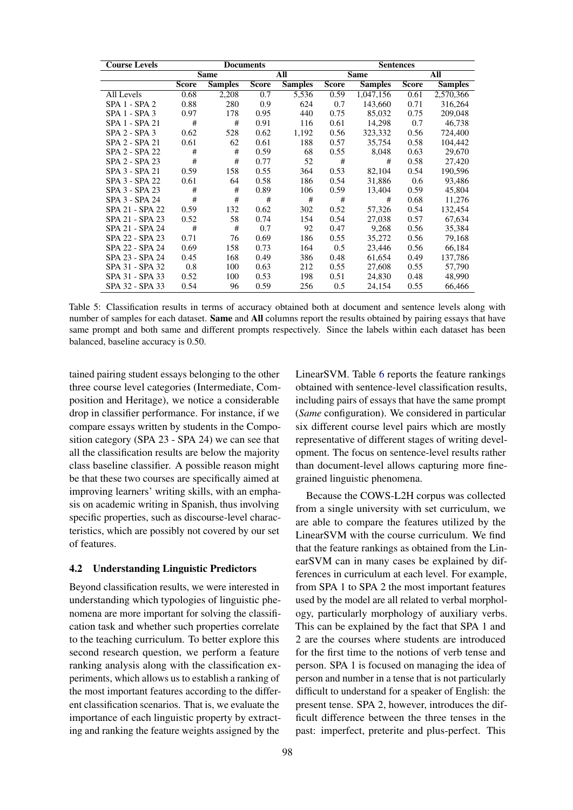<span id="page-6-0"></span>

| <b>Course Levels</b> | <b>Documents</b>   |                |              |                | <b>Sentences</b> |                |              |                |
|----------------------|--------------------|----------------|--------------|----------------|------------------|----------------|--------------|----------------|
|                      | <b>Same</b><br>All |                | <b>Same</b>  |                | All              |                |              |                |
|                      | <b>Score</b>       | <b>Samples</b> | <b>Score</b> | <b>Samples</b> | <b>Score</b>     | <b>Samples</b> | <b>Score</b> | <b>Samples</b> |
| All Levels           | 0.68               | 2,208          | 0.7          | 5,536          | 0.59             | 1,047,156      | 0.61         | 2,570,366      |
| SPA 1 - SPA 2        | 0.88               | 280            | 0.9          | 624            | 0.7              | 143,660        | 0.71         | 316,264        |
| SPA 1 - SPA 3        | 0.97               | 178            | 0.95         | 440            | 0.75             | 85,032         | 0.75         | 209,048        |
| SPA 1 - SPA 21       | #                  | #              | 0.91         | 116            | 0.61             | 14,298         | 0.7          | 46,738         |
| SPA 2 - SPA 3        | 0.62               | 528            | 0.62         | 1,192          | 0.56             | 323,332        | 0.56         | 724,400        |
| SPA 2 - SPA 21       | 0.61               | 62             | 0.61         | 188            | 0.57             | 35,754         | 0.58         | 104,442        |
| SPA 2 - SPA 22       | #                  | #              | 0.59         | 68             | 0.55             | 8,048          | 0.63         | 29,670         |
| SPA 2 - SPA 23       | #                  | #              | 0.77         | 52             | #                | #              | 0.58         | 27,420         |
| SPA 3 - SPA 21       | 0.59               | 158            | 0.55         | 364            | 0.53             | 82,104         | 0.54         | 190,596        |
| SPA 3 - SPA 22       | 0.61               | 64             | 0.58         | 186            | 0.54             | 31,886         | 0.6          | 93,486         |
| SPA 3 - SPA 23       | #                  | #              | 0.89         | 106            | 0.59             | 13,404         | 0.59         | 45,804         |
| SPA 3 - SPA 24       | #                  | #              | #            | #              | #                | #              | 0.68         | 11,276         |
| SPA 21 - SPA 22      | 0.59               | 132            | 0.62         | 302            | 0.52             | 57,326         | 0.54         | 132,454        |
| SPA 21 - SPA 23      | 0.52               | 58             | 0.74         | 154            | 0.54             | 27,038         | 0.57         | 67,634         |
| SPA 21 - SPA 24      | #                  | #              | 0.7          | 92             | 0.47             | 9,268          | 0.56         | 35,384         |
| SPA 22 - SPA 23      | 0.71               | 76             | 0.69         | 186            | 0.55             | 35,272         | 0.56         | 79,168         |
| SPA 22 - SPA 24      | 0.69               | 158            | 0.73         | 164            | 0.5              | 23,446         | 0.56         | 66,184         |
| SPA 23 - SPA 24      | 0.45               | 168            | 0.49         | 386            | 0.48             | 61,654         | 0.49         | 137,786        |
| SPA 31 - SPA 32      | 0.8                | 100            | 0.63         | 212            | 0.55             | 27,608         | 0.55         | 57,790         |
| SPA 31 - SPA 33      | 0.52               | 100            | 0.53         | 198            | 0.51             | 24,830         | 0.48         | 48,990         |
| SPA 32 - SPA 33      | 0.54               | 96             | 0.59         | 256            | 0.5              | 24,154         | 0.55         | 66,466         |

Table 5: Classification results in terms of accuracy obtained both at document and sentence levels along with number of samples for each dataset. **Same** and **All** columns report the results obtained by pairing essays that have same prompt and both same and different prompts respectively. Since the labels within each dataset has been balanced, baseline accuracy is 0.50.

tained pairing student essays belonging to the other three course level categories (Intermediate, Composition and Heritage), we notice a considerable drop in classifier performance. For instance, if we compare essays written by students in the Composition category (SPA 23 - SPA 24) we can see that all the classification results are below the majority class baseline classifier. A possible reason might be that these two courses are specifically aimed at improving learners' writing skills, with an emphasis on academic writing in Spanish, thus involving specific properties, such as discourse-level characteristics, which are possibly not covered by our set of features.

#### 4.2 Understanding Linguistic Predictors

Beyond classification results, we were interested in understanding which typologies of linguistic phenomena are more important for solving the classification task and whether such properties correlate to the teaching curriculum. To better explore this second research question, we perform a feature ranking analysis along with the classification experiments, which allows us to establish a ranking of the most important features according to the different classification scenarios. That is, we evaluate the importance of each linguistic property by extracting and ranking the feature weights assigned by the LinearSVM. Table [6](#page-7-0) reports the feature rankings obtained with sentence-level classification results, including pairs of essays that have the same prompt (*Same* configuration). We considered in particular six different course level pairs which are mostly representative of different stages of writing development. The focus on sentence-level results rather than document-level allows capturing more finegrained linguistic phenomena.

Because the COWS-L2H corpus was collected from a single university with set curriculum, we are able to compare the features utilized by the LinearSVM with the course curriculum. We find that the feature rankings as obtained from the LinearSVM can in many cases be explained by differences in curriculum at each level. For example, from SPA 1 to SPA 2 the most important features used by the model are all related to verbal morphology, particularly morphology of auxiliary verbs. This can be explained by the fact that SPA 1 and 2 are the courses where students are introduced for the first time to the notions of verb tense and person. SPA 1 is focused on managing the idea of person and number in a tense that is not particularly difficult to understand for a speaker of English: the present tense. SPA 2, however, introduces the difficult difference between the three tenses in the past: imperfect, preterite and plus-perfect. This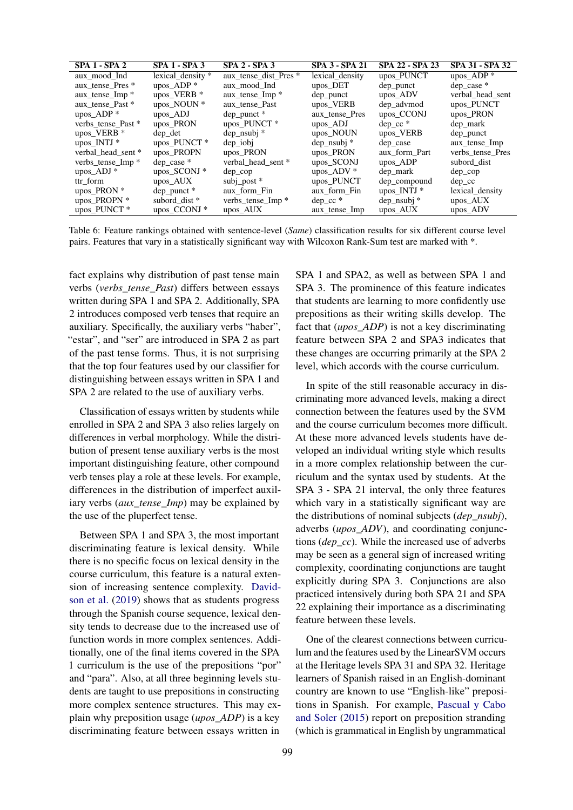<span id="page-7-0"></span>

| <b>SPA 1 - SPA 2</b>        | <b>SPA 1 - SPA 3</b>    | $SPA 2 - SPA 3$            | <b>SPA 3 - SPA 21</b> | SPA 22 - SPA 23 | <b>SPA 31 - SPA 32</b> |
|-----------------------------|-------------------------|----------------------------|-----------------------|-----------------|------------------------|
| aux mood Ind                | lexical density *       | aux tense dist Pres *      | lexical density       | upos_PUNCT      | upos $ADP^*$           |
| aux_tense_Pres *            | upos_ADP*               | aux mood Ind               | upos_DET              | dep_punct       | $dep\_case$ *          |
| aux_tense_Imp *             | upos VERB <sup>*</sup>  | aux tense Imp <sup>*</sup> | $dep\_punct$          | upos ADV        | verbal head sent       |
| aux_tense_Past *            | upos_NOUN *             | aux_tense_Past             | upos_VERB             | dep_advmod      | upos_PUNCT             |
| upos_ADP*                   | $\text{upos}\$ ADJ      | $dep\_punct*$              | aux_tense_Pres        | upos_CCONJ      | upos_PRON              |
| verbs_tense_Past *          | upos_PRON               | upos_PUNCT *               | $\text{upos}$ ADJ     | $dep_{cc}$ *    | dep_mark               |
| upos_VERB $*$               | dep det                 | $dep$ _nsubj $*$           | upos_NOUN             | upos_VERB       | dep_punct              |
| upos_INTJ $*$               | upos_PUNCT*             | $dep\_iobj$                | $dep$ _nsubj $*$      | dep_case        | aux_tense_Imp          |
| verbal head sent *          | upos PROPN              | upos PRON                  | upos_PRON             | aux form Part   | verbs_tense_Pres       |
| verbs_tense_Imp *           | $dep\_case$ *           | verbal head sent *         | upos_SCONJ            | upos ADP        | subord dist            |
| $\text{upos}\_\text{ADI} *$ | upos_SCONJ *            | $dep_{cop}$                | upos_ADV *            | dep_mark        | $dep_{cop}$            |
| ttr form                    | upos AUX                | subj_post $*$              | upos_PUNCT            | dep_compound    | $dep_{cc}$             |
| upos_PRON *                 | $dep\_punct*$           | aux form Fin               | aux form Fin          | upos_INTJ *     | lexical density        |
| upos_PROPN *                | subord dist *           | verbs_tense_Imp *          | $dep_{cc}$ *          | dep_nsubj *     | $\mu$ pos $\Delta$ UX  |
| upos PUNCT <sup>*</sup>     | upos CCONJ <sup>*</sup> | $\upmu$ pos_AUX            | aux_tense_Imp         | upos AUX        | upos_ADV               |

Table 6: Feature rankings obtained with sentence-level (*Same*) classification results for six different course level pairs. Features that vary in a statistically significant way with Wilcoxon Rank-Sum test are marked with \*.

fact explains why distribution of past tense main verbs (*verbs\_tense\_Past*) differs between essays written during SPA 1 and SPA 2. Additionally, SPA 2 introduces composed verb tenses that require an auxiliary. Specifically, the auxiliary verbs "haber", "estar", and "ser" are introduced in SPA 2 as part of the past tense forms. Thus, it is not surprising that the top four features used by our classifier for distinguishing between essays written in SPA 1 and SPA 2 are related to the use of auxiliary verbs.

Classification of essays written by students while enrolled in SPA 2 and SPA 3 also relies largely on differences in verbal morphology. While the distribution of present tense auxiliary verbs is the most important distinguishing feature, other compound verb tenses play a role at these levels. For example, differences in the distribution of imperfect auxiliary verbs (*aux\_tense\_Imp*) may be explained by the use of the pluperfect tense.

Between SPA 1 and SPA 3, the most important discriminating feature is lexical density. While there is no specific focus on lexical density in the course curriculum, this feature is a natural extension of increasing sentence complexity. [David](#page-8-9)[son et al.](#page-8-9) [\(2019\)](#page-8-9) shows that as students progress through the Spanish course sequence, lexical density tends to decrease due to the increased use of function words in more complex sentences. Additionally, one of the final items covered in the SPA 1 curriculum is the use of the prepositions "por" and "para". Also, at all three beginning levels students are taught to use prepositions in constructing more complex sentence structures. This may explain why preposition usage (*upos\_ADP*) is a key discriminating feature between essays written in

SPA 1 and SPA2, as well as between SPA 1 and SPA 3. The prominence of this feature indicates that students are learning to more confidently use prepositions as their writing skills develop. The fact that (*upos\_ADP*) is not a key discriminating feature between SPA 2 and SPA3 indicates that these changes are occurring primarily at the SPA 2 level, which accords with the course curriculum.

In spite of the still reasonable accuracy in discriminating more advanced levels, making a direct connection between the features used by the SVM and the course curriculum becomes more difficult. At these more advanced levels students have developed an individual writing style which results in a more complex relationship between the curriculum and the syntax used by students. At the SPA 3 - SPA 21 interval, the only three features which vary in a statistically significant way are the distributions of nominal subjects (*dep\_nsubj*), adverbs (*upos\_ADV*), and coordinating conjunctions (*dep\_cc*). While the increased use of adverbs may be seen as a general sign of increased writing complexity, coordinating conjunctions are taught explicitly during SPA 3. Conjunctions are also practiced intensively during both SPA 21 and SPA 22 explaining their importance as a discriminating feature between these levels.

One of the clearest connections between curriculum and the features used by the LinearSVM occurs at the Heritage levels SPA 31 and SPA 32. Heritage learners of Spanish raised in an English-dominant country are known to use "English-like" prepositions in Spanish. For example, [Pascual y Cabo](#page-8-10) [and Soler](#page-8-10) [\(2015\)](#page-8-10) report on preposition stranding (which is grammatical in English by ungrammatical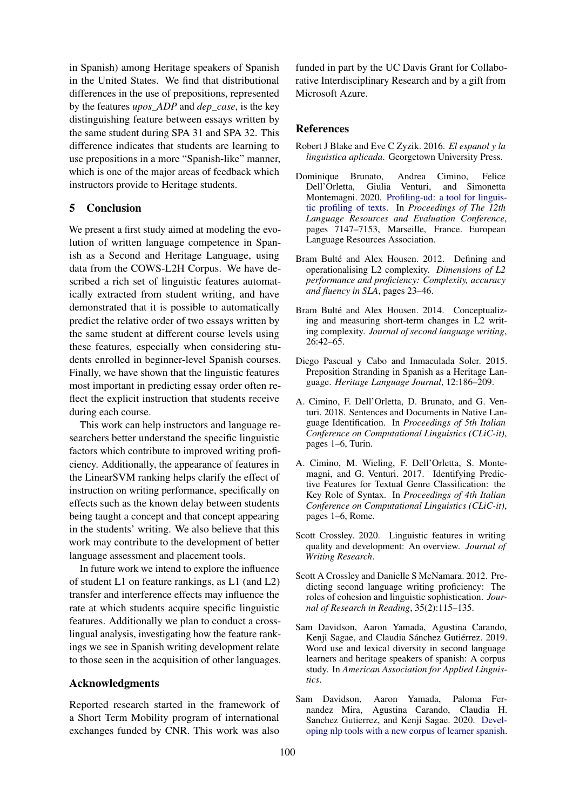in Spanish) among Heritage speakers of Spanish in the United States. We find that distributional differences in the use of prepositions, represented by the features *upos\_ADP* and *dep\_case*, is the key distinguishing feature between essays written by the same student during SPA 31 and SPA 32. This difference indicates that students are learning to use prepositions in a more "Spanish-like" manner, which is one of the major areas of feedback which instructors provide to Heritage students.

# 5 Conclusion

We present a first study aimed at modeling the evolution of written language competence in Spanish as a Second and Heritage Language, using data from the COWS-L2H Corpus. We have described a rich set of linguistic features automatically extracted from student writing, and have demonstrated that it is possible to automatically predict the relative order of two essays written by the same student at different course levels using these features, especially when considering students enrolled in beginner-level Spanish courses. Finally, we have shown that the linguistic features most important in predicting essay order often reflect the explicit instruction that students receive during each course.

This work can help instructors and language researchers better understand the specific linguistic factors which contribute to improved writing proficiency. Additionally, the appearance of features in the LinearSVM ranking helps clarify the effect of instruction on writing performance, specifically on effects such as the known delay between students being taught a concept and that concept appearing in the students' writing. We also believe that this work may contribute to the development of better language assessment and placement tools.

In future work we intend to explore the influence of student L1 on feature rankings, as L1 (and L2) transfer and interference effects may influence the rate at which students acquire specific linguistic features. Additionally we plan to conduct a crosslingual analysis, investigating how the feature rankings we see in Spanish writing development relate to those seen in the acquisition of other languages.

# Acknowledgments

Reported research started in the framework of a Short Term Mobility program of international exchanges funded by CNR. This work was also funded in part by the UC Davis Grant for Collaborative Interdisciplinary Research and by a gift from Microsoft Azure.

#### References

- <span id="page-8-4"></span>Robert J Blake and Eve C Zyzik. 2016. *El espanol y la linguistica aplicada*. Georgetown University Press.
- <span id="page-8-6"></span>Dominique Brunato, Andrea Cimino, Felice Giulia Venturi, and Simonetta Montemagni. 2020. [Profiling-ud: a tool for linguis](https://www.aclweb.org/anthology/2020.lrec-1.883)[tic profiling of texts.](https://www.aclweb.org/anthology/2020.lrec-1.883) In *Proceedings of The 12th Language Resources and Evaluation Conference*, pages 7147–7153, Marseille, France. European Language Resources Association.
- <span id="page-8-2"></span>Bram Bulté and Alex Housen. 2012. Defining and operationalising L2 complexity. *Dimensions of L2 performance and proficiency: Complexity, accuracy and fluency in SLA*, pages 23–46.
- <span id="page-8-3"></span>Bram Bulté and Alex Housen. 2014. Conceptualizing and measuring short-term changes in L2 writing complexity. *Journal of second language writing*, 26:42–65.
- <span id="page-8-10"></span>Diego Pascual y Cabo and Inmaculada Soler. 2015. Preposition Stranding in Spanish as a Heritage Language. *Heritage Language Journal*, 12:186–209.
- <span id="page-8-8"></span>A. Cimino, F. Dell'Orletta, D. Brunato, and G. Venturi. 2018. Sentences and Documents in Native Language Identification. In *Proceedings of 5th Italian Conference on Computational Linguistics (CLiC-it)*, pages 1–6, Turin.
- <span id="page-8-7"></span>A. Cimino, M. Wieling, F. Dell'Orletta, S. Montemagni, and G. Venturi. 2017. Identifying Predictive Features for Textual Genre Classification: the Key Role of Syntax. In *Proceedings of 4th Italian Conference on Computational Linguistics (CLiC-it)*, pages 1–6, Rome.
- <span id="page-8-0"></span>Scott Crossley. 2020. Linguistic features in writing quality and development: An overview. *Journal of Writing Research*.
- <span id="page-8-1"></span>Scott A Crossley and Danielle S McNamara. 2012. Predicting second language writing proficiency: The roles of cohesion and linguistic sophistication. *Journal of Research in Reading*, 35(2):115–135.
- <span id="page-8-9"></span>Sam Davidson, Aaron Yamada, Agustina Carando, Kenji Sagae, and Claudia Sánchez Gutiérrez. 2019. Word use and lexical diversity in second language learners and heritage speakers of spanish: A corpus study. In *American Association for Applied Linguistics*.
- <span id="page-8-5"></span>Sam Davidson, Aaron Yamada, Paloma Fernandez Mira, Agustina Carando, Claudia H. Sanchez Gutierrez, and Kenji Sagae. 2020. [Devel](https://www.aclweb.org/anthology/2020.lrec-1.894)[oping nlp tools with a new corpus of learner spanish.](https://www.aclweb.org/anthology/2020.lrec-1.894)